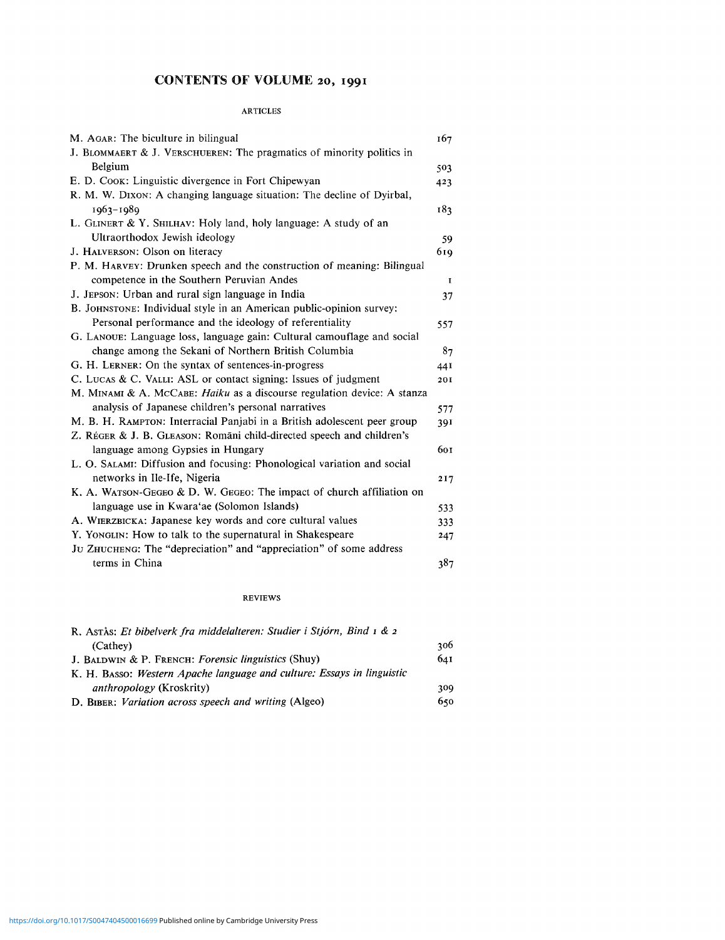## CONTENTS OF VOLUME 20, 1991

## ARTICLES

| M. AGAR: The biculture in bilingual                                      | 167 |
|--------------------------------------------------------------------------|-----|
| J. BLOMMAERT & J. VERSCHUEREN: The pragmatics of minority politics in    |     |
| Belgium                                                                  | 503 |
| E. D. Cook: Linguistic divergence in Fort Chipewyan                      | 423 |
| R. M. W. Dixon: A changing language situation: The decline of Dyirbal,   |     |
| 1963-1989                                                                | 183 |
| L. GLINERT & Y. SHILHAV: Holy land, holy language: A study of an         |     |
| Ultraorthodox Jewish ideology                                            | 59  |
| J. HALVERSON: Olson on literacy                                          | 619 |
| P. M. HARVEY: Drunken speech and the construction of meaning: Bilingual  |     |
| competence in the Southern Peruvian Andes                                | L   |
| J. JEPSON: Urban and rural sign language in India                        | 37  |
| B. JOHNSTONE: Individual style in an American public-opinion survey:     |     |
| Personal performance and the ideology of referentiality                  | 557 |
| G. LANOUE: Language loss, language gain: Cultural camouflage and social  |     |
| change among the Sekani of Northern British Columbia                     | 87  |
| G. H. LERNER: On the syntax of sentences-in-progress                     | 44I |
| C. LUCAS & C. VALLI: ASL or contact signing: Issues of judgment          | 201 |
| M. MINAMI & A. MCCABE: Haiku as a discourse regulation device: A stanza  |     |
| analysis of Japanese children's personal narratives                      | 577 |
| M. B. H. RAMPTON: Interracial Panjabi in a British adolescent peer group | 391 |
| Z. RÉGER & J. B. GLEASON: Romāni child-directed speech and children's    |     |
| language among Gypsies in Hungary                                        | 601 |
| L. O. SALAMI: Diffusion and focusing: Phonological variation and social  |     |
| networks in Ile-Ife, Nigeria                                             | 217 |
| K. A. WATSON-GEGEO & D. W. GEGEO: The impact of church affiliation on    |     |
| language use in Kwara'ae (Solomon Islands)                               | 533 |
| A. WIERZBICKA: Japanese key words and core cultural values               | 333 |
| Y. YONGLIN: How to talk to the supernatural in Shakespeare               | 247 |
| JU ZHUCHENG: The "depreciation" and "appreciation" of some address       |     |
| terms in China                                                           | 387 |

## REVIEWS

| R. Astrås: Et bibelverk fra middelalteren: Studier i Stjórn, Bind 1 & 2 |     |
|-------------------------------------------------------------------------|-----|
| (Cathey)                                                                | 306 |
| J. BALDWIN & P. FRENCH: Forensic linguistics (Shuy)                     | 641 |
| K. H. BASSO: Western Apache language and culture: Essays in linguistic  |     |
| <i>anthropology</i> (Kroskrity)                                         | 309 |
| D. BIBER: Variation across speech and writing (Algeo)                   | 650 |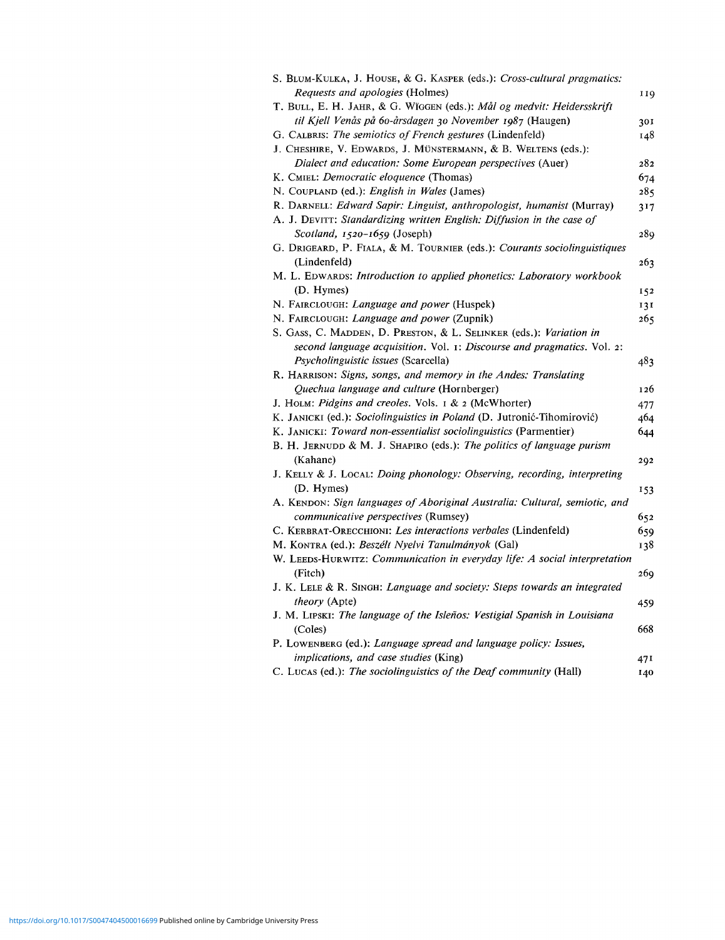| S. BLUM-KULKA, J. HOUSE, & G. KASPER (eds.): Cross-cultural pragmatics:                    |     |
|--------------------------------------------------------------------------------------------|-----|
| <i>Requests and apologies (Holmes)</i>                                                     | 119 |
| T. BULL, E. H. JAHR, & G. WIGGEN (eds.): Mål og medvit: Heidersskrift                      |     |
| til Kjell Venås på 60-årsdagen 30 November 1987 (Haugen)                                   | 301 |
| G. CALBRIS: The semiotics of French gestures (Lindenfeld)                                  | 148 |
| J. CHESHIRE, V. EDWARDS, J. MÜNSTERMANN, & B. WELTENS (eds.):                              |     |
| Dialect and education: Some European perspectives (Auer)                                   | 282 |
| K. CMIEL: Democratic eloquence (Thomas)                                                    | 674 |
| N. COUPLAND (ed.): English in Wales (James)                                                | 285 |
| R. DARNELL: Edward Sapir: Linguist, anthropologist, humanist (Murray)                      | 317 |
| A. J. DEVITT: Standardizing written English: Diffusion in the case of                      |     |
| Scotland, $1520-1659$ (Joseph)                                                             | 289 |
| G. DRIGEARD, P. FIALA, & M. TOURNIER (eds.): Courants sociolinguistiques                   |     |
| (Lindenfeld)                                                                               | 263 |
| M. L. EDWARDS: Introduction to applied phonetics: Laboratory workbook                      |     |
| (D. Hymes)                                                                                 | 152 |
| N. FAIRCLOUGH: Language and power (Huspek)                                                 | 131 |
| N. FAIRCLOUGH: Language and power (Zupnik)                                                 | 265 |
| S. Gass, C. Madden, D. Preston, & L. Selinker (eds.): Variation in                         |     |
| second language acquisition. Vol. 1: Discourse and pragmatics. Vol. 2:                     |     |
| Psycholinguistic issues (Scarcella)                                                        | 483 |
| R. HARRISON: Signs, songs, and memory in the Andes: Translating                            |     |
| Quechua language and culture (Hornberger)                                                  | 126 |
| J. HOLM: Pidgins and creoles. Vols. 1 & 2 (McWhorter)                                      | 477 |
| K. JANICKI (ed.): Sociolinguistics in Poland (D. Jutronić-Tihomirović)                     | 464 |
| K. JANICKI: Toward non-essentialist sociolinguistics (Parmentier)                          |     |
| B. H. JERNUDD & M. J. SHAPIRO (eds.): The politics of language purism                      | 644 |
| (Kahane)                                                                                   |     |
| J. KELLY & J. LOCAL: Doing phonology: Observing, recording, interpreting                   | 292 |
| (D. Hymes)                                                                                 |     |
| A. KENDON: Sign languages of Aboriginal Australia: Cultural, semiotic, and                 | 153 |
| communicative perspectives (Rumsey)                                                        |     |
|                                                                                            | 652 |
| C. KERBRAT-ORECCHIONI: Les interactions verbales (Lindenfeld)                              | 659 |
| M. KONTRA (ed.): Beszélt Nyelvi Tanulmányok (Gal)                                          | 138 |
| W. LEEDS-HURWITZ: Communication in everyday life: A social interpretation                  |     |
| (Fitch)                                                                                    | 269 |
| J. K. LELE & R. SINGH: Language and society: Steps towards an integrated                   |     |
| theory (Apte)<br>J. M. LIPSKI: The language of the Isleños: Vestigial Spanish in Louisiana | 459 |
|                                                                                            | 668 |
| (Coles)                                                                                    |     |
| P. LOWENBERG (ed.): Language spread and language policy: Issues,                           |     |
| <i>implications, and case studies</i> (King)                                               | 471 |
| C. LUCAS (ed.): The sociolinguistics of the Deaf community (Hall)                          | 140 |